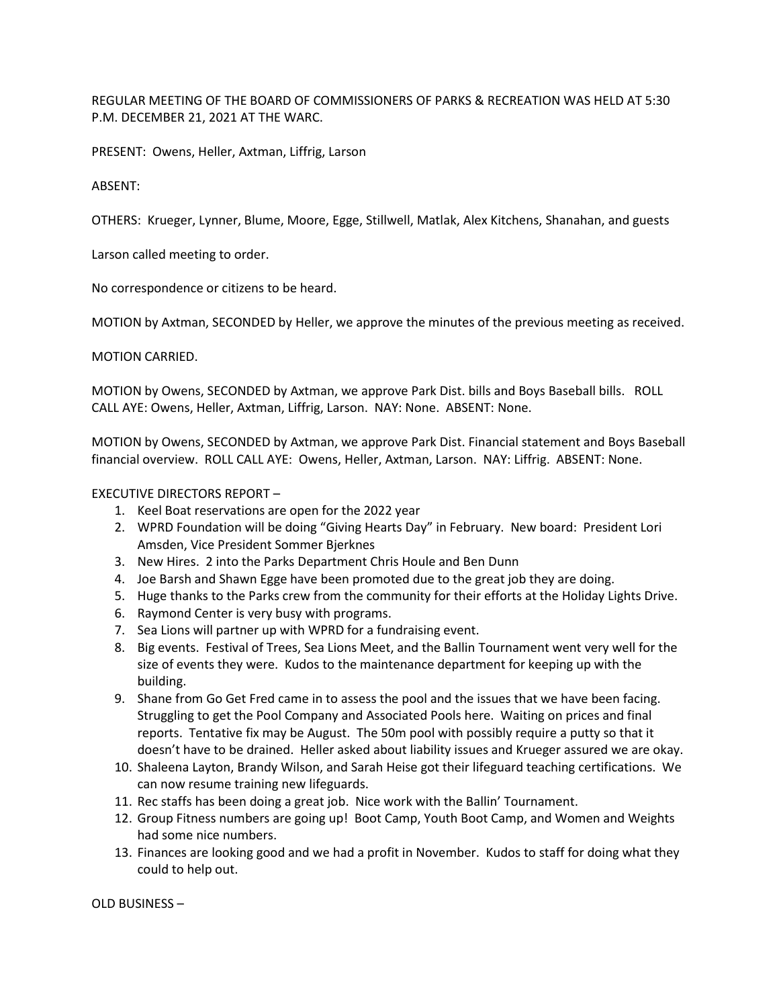REGULAR MEETING OF THE BOARD OF COMMISSIONERS OF PARKS & RECREATION WAS HELD AT 5:30 P.M. DECEMBER 21, 2021 AT THE WARC.

PRESENT: Owens, Heller, Axtman, Liffrig, Larson

ABSENT:

OTHERS: Krueger, Lynner, Blume, Moore, Egge, Stillwell, Matlak, Alex Kitchens, Shanahan, and guests

Larson called meeting to order.

No correspondence or citizens to be heard.

MOTION by Axtman, SECONDED by Heller, we approve the minutes of the previous meeting as received.

MOTION CARRIED.

MOTION by Owens, SECONDED by Axtman, we approve Park Dist. bills and Boys Baseball bills. ROLL CALL AYE: Owens, Heller, Axtman, Liffrig, Larson. NAY: None. ABSENT: None.

MOTION by Owens, SECONDED by Axtman, we approve Park Dist. Financial statement and Boys Baseball financial overview. ROLL CALL AYE: Owens, Heller, Axtman, Larson. NAY: Liffrig. ABSENT: None.

EXECUTIVE DIRECTORS REPORT –

- 1. Keel Boat reservations are open for the 2022 year
- 2. WPRD Foundation will be doing "Giving Hearts Day" in February. New board: President Lori Amsden, Vice President Sommer Bjerknes
- 3. New Hires. 2 into the Parks Department Chris Houle and Ben Dunn
- 4. Joe Barsh and Shawn Egge have been promoted due to the great job they are doing.
- 5. Huge thanks to the Parks crew from the community for their efforts at the Holiday Lights Drive.
- 6. Raymond Center is very busy with programs.
- 7. Sea Lions will partner up with WPRD for a fundraising event.
- 8. Big events. Festival of Trees, Sea Lions Meet, and the Ballin Tournament went very well for the size of events they were. Kudos to the maintenance department for keeping up with the building.
- 9. Shane from Go Get Fred came in to assess the pool and the issues that we have been facing. Struggling to get the Pool Company and Associated Pools here. Waiting on prices and final reports. Tentative fix may be August. The 50m pool with possibly require a putty so that it doesn't have to be drained. Heller asked about liability issues and Krueger assured we are okay.
- 10. Shaleena Layton, Brandy Wilson, and Sarah Heise got their lifeguard teaching certifications. We can now resume training new lifeguards.
- 11. Rec staffs has been doing a great job. Nice work with the Ballin' Tournament.
- 12. Group Fitness numbers are going up! Boot Camp, Youth Boot Camp, and Women and Weights had some nice numbers.
- 13. Finances are looking good and we had a profit in November. Kudos to staff for doing what they could to help out.

OLD BUSINESS –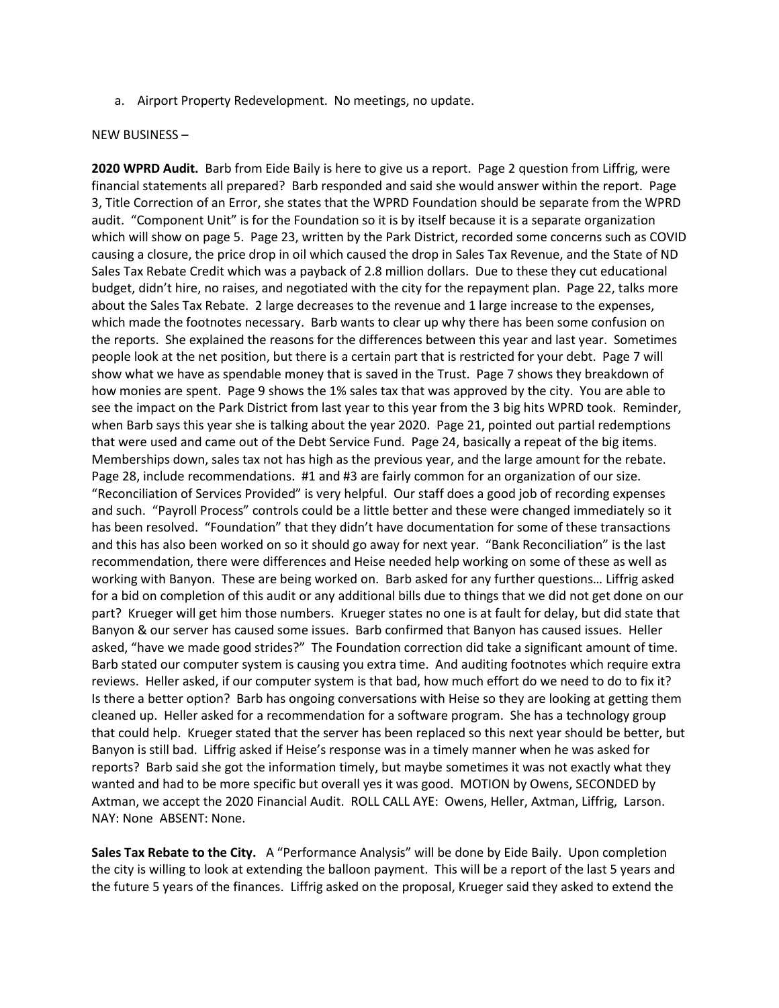a. Airport Property Redevelopment. No meetings, no update.

## NEW BUSINESS –

**2020 WPRD Audit.** Barb from Eide Baily is here to give us a report. Page 2 question from Liffrig, were financial statements all prepared? Barb responded and said she would answer within the report. Page 3, Title Correction of an Error, she states that the WPRD Foundation should be separate from the WPRD audit. "Component Unit" is for the Foundation so it is by itself because it is a separate organization which will show on page 5. Page 23, written by the Park District, recorded some concerns such as COVID causing a closure, the price drop in oil which caused the drop in Sales Tax Revenue, and the State of ND Sales Tax Rebate Credit which was a payback of 2.8 million dollars. Due to these they cut educational budget, didn't hire, no raises, and negotiated with the city for the repayment plan. Page 22, talks more about the Sales Tax Rebate. 2 large decreases to the revenue and 1 large increase to the expenses, which made the footnotes necessary. Barb wants to clear up why there has been some confusion on the reports. She explained the reasons for the differences between this year and last year. Sometimes people look at the net position, but there is a certain part that is restricted for your debt. Page 7 will show what we have as spendable money that is saved in the Trust. Page 7 shows they breakdown of how monies are spent. Page 9 shows the 1% sales tax that was approved by the city. You are able to see the impact on the Park District from last year to this year from the 3 big hits WPRD took. Reminder, when Barb says this year she is talking about the year 2020. Page 21, pointed out partial redemptions that were used and came out of the Debt Service Fund. Page 24, basically a repeat of the big items. Memberships down, sales tax not has high as the previous year, and the large amount for the rebate. Page 28, include recommendations. #1 and #3 are fairly common for an organization of our size. "Reconciliation of Services Provided" is very helpful. Our staff does a good job of recording expenses and such. "Payroll Process" controls could be a little better and these were changed immediately so it has been resolved. "Foundation" that they didn't have documentation for some of these transactions and this has also been worked on so it should go away for next year. "Bank Reconciliation" is the last recommendation, there were differences and Heise needed help working on some of these as well as working with Banyon. These are being worked on. Barb asked for any further questions… Liffrig asked for a bid on completion of this audit or any additional bills due to things that we did not get done on our part? Krueger will get him those numbers. Krueger states no one is at fault for delay, but did state that Banyon & our server has caused some issues. Barb confirmed that Banyon has caused issues. Heller asked, "have we made good strides?" The Foundation correction did take a significant amount of time. Barb stated our computer system is causing you extra time. And auditing footnotes which require extra reviews. Heller asked, if our computer system is that bad, how much effort do we need to do to fix it? Is there a better option? Barb has ongoing conversations with Heise so they are looking at getting them cleaned up. Heller asked for a recommendation for a software program. She has a technology group that could help. Krueger stated that the server has been replaced so this next year should be better, but Banyon is still bad. Liffrig asked if Heise's response was in a timely manner when he was asked for reports? Barb said she got the information timely, but maybe sometimes it was not exactly what they wanted and had to be more specific but overall yes it was good. MOTION by Owens, SECONDED by Axtman, we accept the 2020 Financial Audit. ROLL CALL AYE: Owens, Heller, Axtman, Liffrig, Larson. NAY: None ABSENT: None.

**Sales Tax Rebate to the City.** A "Performance Analysis" will be done by Eide Baily. Upon completion the city is willing to look at extending the balloon payment. This will be a report of the last 5 years and the future 5 years of the finances. Liffrig asked on the proposal, Krueger said they asked to extend the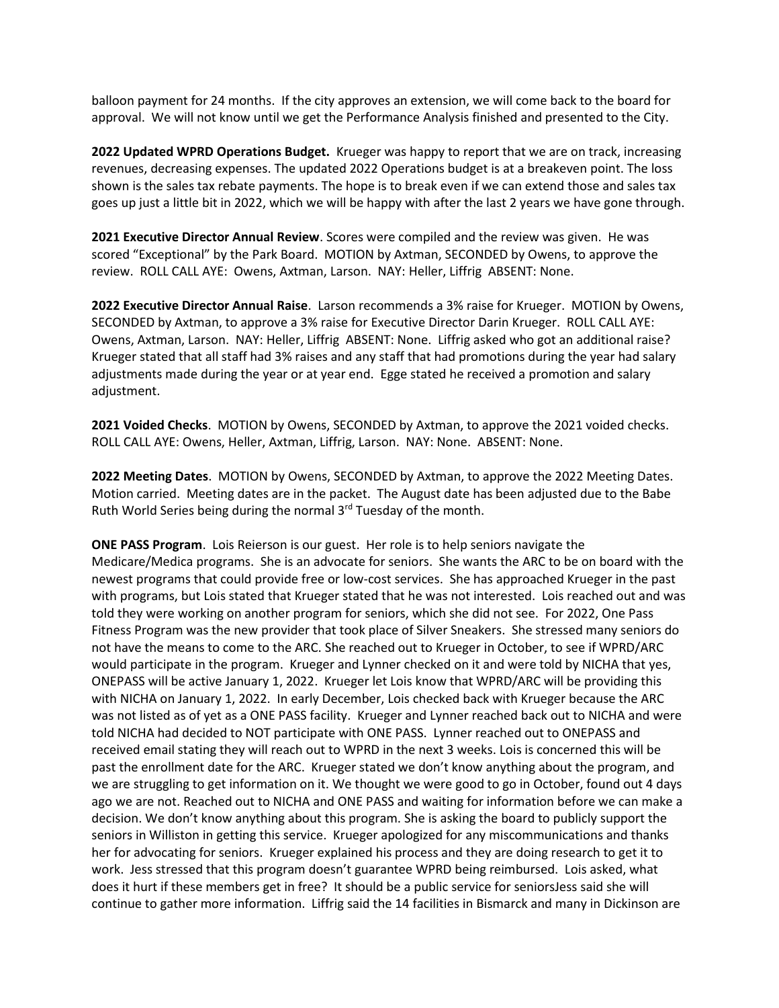balloon payment for 24 months. If the city approves an extension, we will come back to the board for approval. We will not know until we get the Performance Analysis finished and presented to the City.

**2022 Updated WPRD Operations Budget.** Krueger was happy to report that we are on track, increasing revenues, decreasing expenses. The updated 2022 Operations budget is at a breakeven point. The loss shown is the sales tax rebate payments. The hope is to break even if we can extend those and sales tax goes up just a little bit in 2022, which we will be happy with after the last 2 years we have gone through.

**2021 Executive Director Annual Review**. Scores were compiled and the review was given. He was scored "Exceptional" by the Park Board. MOTION by Axtman, SECONDED by Owens, to approve the review. ROLL CALL AYE: Owens, Axtman, Larson. NAY: Heller, Liffrig ABSENT: None.

**2022 Executive Director Annual Raise**. Larson recommends a 3% raise for Krueger. MOTION by Owens, SECONDED by Axtman, to approve a 3% raise for Executive Director Darin Krueger. ROLL CALL AYE: Owens, Axtman, Larson. NAY: Heller, Liffrig ABSENT: None. Liffrig asked who got an additional raise? Krueger stated that all staff had 3% raises and any staff that had promotions during the year had salary adjustments made during the year or at year end. Egge stated he received a promotion and salary adjustment.

**2021 Voided Checks**. MOTION by Owens, SECONDED by Axtman, to approve the 2021 voided checks. ROLL CALL AYE: Owens, Heller, Axtman, Liffrig, Larson. NAY: None. ABSENT: None.

**2022 Meeting Dates**. MOTION by Owens, SECONDED by Axtman, to approve the 2022 Meeting Dates. Motion carried. Meeting dates are in the packet. The August date has been adjusted due to the Babe Ruth World Series being during the normal 3rd Tuesday of the month.

**ONE PASS Program**. Lois Reierson is our guest. Her role is to help seniors navigate the Medicare/Medica programs. She is an advocate for seniors. She wants the ARC to be on board with the newest programs that could provide free or low-cost services. She has approached Krueger in the past with programs, but Lois stated that Krueger stated that he was not interested. Lois reached out and was told they were working on another program for seniors, which she did not see. For 2022, One Pass Fitness Program was the new provider that took place of Silver Sneakers. She stressed many seniors do not have the means to come to the ARC. She reached out to Krueger in October, to see if WPRD/ARC would participate in the program. Krueger and Lynner checked on it and were told by NICHA that yes, ONEPASS will be active January 1, 2022. Krueger let Lois know that WPRD/ARC will be providing this with NICHA on January 1, 2022. In early December, Lois checked back with Krueger because the ARC was not listed as of yet as a ONE PASS facility. Krueger and Lynner reached back out to NICHA and were told NICHA had decided to NOT participate with ONE PASS. Lynner reached out to ONEPASS and received email stating they will reach out to WPRD in the next 3 weeks. Lois is concerned this will be past the enrollment date for the ARC. Krueger stated we don't know anything about the program, and we are struggling to get information on it. We thought we were good to go in October, found out 4 days ago we are not. Reached out to NICHA and ONE PASS and waiting for information before we can make a decision. We don't know anything about this program. She is asking the board to publicly support the seniors in Williston in getting this service. Krueger apologized for any miscommunications and thanks her for advocating for seniors. Krueger explained his process and they are doing research to get it to work. Jess stressed that this program doesn't guarantee WPRD being reimbursed. Lois asked, what does it hurt if these members get in free? It should be a public service for seniorsJess said she will continue to gather more information. Liffrig said the 14 facilities in Bismarck and many in Dickinson are